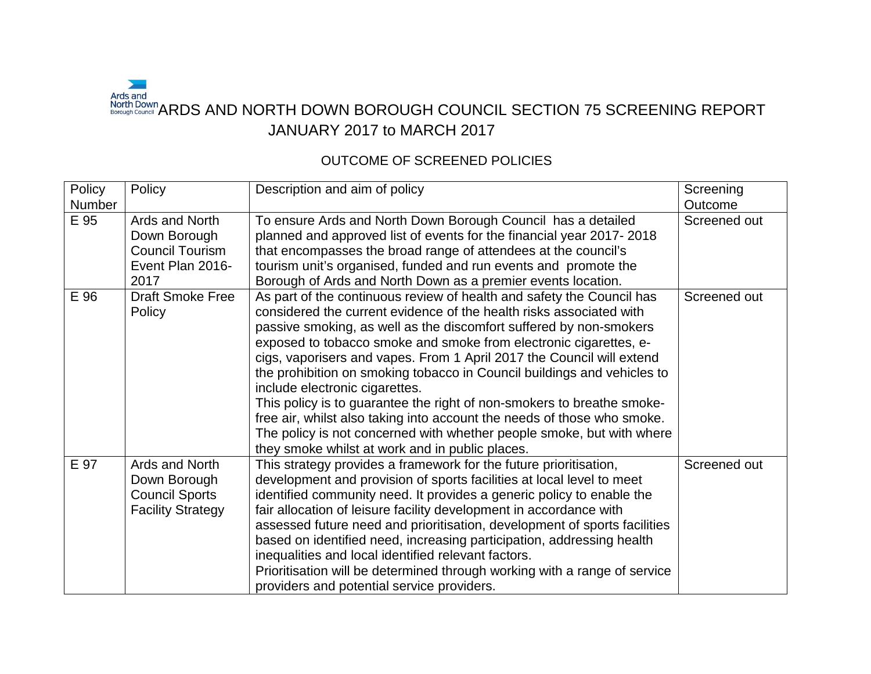## $\overline{\phantom{0}}$ Ards and<br>North Down<br>Borough Council ARDS AND NORTH DOWN BOROUGH COUNCIL SECTION 75 SCREENING REPORT JANUARY 2017 to MARCH 2017

## OUTCOME OF SCREENED POLICIES

| Policy         | Policy                                                                               | Description and aim of policy                                                                                                                                                                                                                                                                                                                                                                                                                                                                                                                                                                                                                                                                                                                                  | Screening               |
|----------------|--------------------------------------------------------------------------------------|----------------------------------------------------------------------------------------------------------------------------------------------------------------------------------------------------------------------------------------------------------------------------------------------------------------------------------------------------------------------------------------------------------------------------------------------------------------------------------------------------------------------------------------------------------------------------------------------------------------------------------------------------------------------------------------------------------------------------------------------------------------|-------------------------|
| Number<br>E 95 | Ards and North<br>Down Borough<br><b>Council Tourism</b><br>Event Plan 2016-<br>2017 | To ensure Ards and North Down Borough Council has a detailed<br>planned and approved list of events for the financial year 2017-2018<br>that encompasses the broad range of attendees at the council's<br>tourism unit's organised, funded and run events and promote the<br>Borough of Ards and North Down as a premier events location.                                                                                                                                                                                                                                                                                                                                                                                                                      | Outcome<br>Screened out |
| E 96           | <b>Draft Smoke Free</b><br>Policy                                                    | As part of the continuous review of health and safety the Council has<br>considered the current evidence of the health risks associated with<br>passive smoking, as well as the discomfort suffered by non-smokers<br>exposed to tobacco smoke and smoke from electronic cigarettes, e-<br>cigs, vaporisers and vapes. From 1 April 2017 the Council will extend<br>the prohibition on smoking tobacco in Council buildings and vehicles to<br>include electronic cigarettes.<br>This policy is to guarantee the right of non-smokers to breathe smoke-<br>free air, whilst also taking into account the needs of those who smoke.<br>The policy is not concerned with whether people smoke, but with where<br>they smoke whilst at work and in public places. | Screened out            |
| E 97           | Ards and North<br>Down Borough<br><b>Council Sports</b><br><b>Facility Strategy</b>  | This strategy provides a framework for the future prioritisation,<br>development and provision of sports facilities at local level to meet<br>identified community need. It provides a generic policy to enable the<br>fair allocation of leisure facility development in accordance with<br>assessed future need and prioritisation, development of sports facilities<br>based on identified need, increasing participation, addressing health<br>inequalities and local identified relevant factors.<br>Prioritisation will be determined through working with a range of service<br>providers and potential service providers.                                                                                                                              | Screened out            |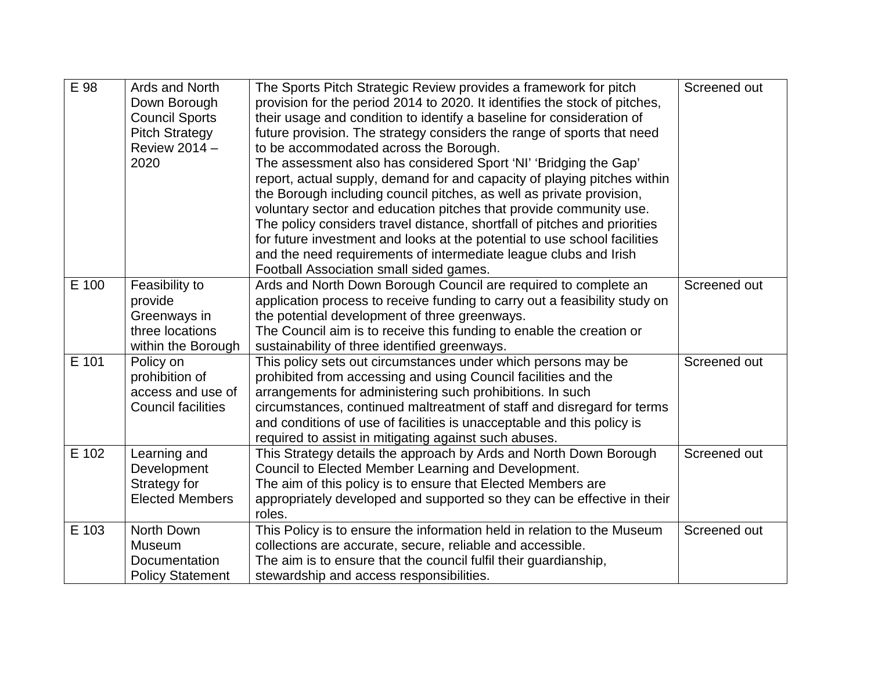| E 98  | Ards and North<br>Down Borough<br><b>Council Sports</b><br><b>Pitch Strategy</b><br>Review 2014 -<br>2020 | The Sports Pitch Strategic Review provides a framework for pitch<br>provision for the period 2014 to 2020. It identifies the stock of pitches,<br>their usage and condition to identify a baseline for consideration of<br>future provision. The strategy considers the range of sports that need<br>to be accommodated across the Borough.<br>The assessment also has considered Sport 'NI' 'Bridging the Gap'<br>report, actual supply, demand for and capacity of playing pitches within<br>the Borough including council pitches, as well as private provision,<br>voluntary sector and education pitches that provide community use.<br>The policy considers travel distance, shortfall of pitches and priorities<br>for future investment and looks at the potential to use school facilities<br>and the need requirements of intermediate league clubs and Irish<br>Football Association small sided games. | Screened out |
|-------|-----------------------------------------------------------------------------------------------------------|--------------------------------------------------------------------------------------------------------------------------------------------------------------------------------------------------------------------------------------------------------------------------------------------------------------------------------------------------------------------------------------------------------------------------------------------------------------------------------------------------------------------------------------------------------------------------------------------------------------------------------------------------------------------------------------------------------------------------------------------------------------------------------------------------------------------------------------------------------------------------------------------------------------------|--------------|
| E 100 | Feasibility to<br>provide<br>Greenways in<br>three locations<br>within the Borough                        | Ards and North Down Borough Council are required to complete an<br>application process to receive funding to carry out a feasibility study on<br>the potential development of three greenways.<br>The Council aim is to receive this funding to enable the creation or<br>sustainability of three identified greenways.                                                                                                                                                                                                                                                                                                                                                                                                                                                                                                                                                                                            | Screened out |
| E 101 | Policy on<br>prohibition of<br>access and use of<br><b>Council facilities</b>                             | This policy sets out circumstances under which persons may be<br>prohibited from accessing and using Council facilities and the<br>arrangements for administering such prohibitions. In such<br>circumstances, continued maltreatment of staff and disregard for terms<br>and conditions of use of facilities is unacceptable and this policy is<br>required to assist in mitigating against such abuses.                                                                                                                                                                                                                                                                                                                                                                                                                                                                                                          | Screened out |
| E 102 | Learning and<br>Development<br>Strategy for<br><b>Elected Members</b>                                     | This Strategy details the approach by Ards and North Down Borough<br>Council to Elected Member Learning and Development.<br>The aim of this policy is to ensure that Elected Members are<br>appropriately developed and supported so they can be effective in their<br>roles.                                                                                                                                                                                                                                                                                                                                                                                                                                                                                                                                                                                                                                      | Screened out |
| E 103 | North Down<br>Museum<br>Documentation<br><b>Policy Statement</b>                                          | This Policy is to ensure the information held in relation to the Museum<br>collections are accurate, secure, reliable and accessible.<br>The aim is to ensure that the council fulfil their guardianship,<br>stewardship and access responsibilities.                                                                                                                                                                                                                                                                                                                                                                                                                                                                                                                                                                                                                                                              | Screened out |